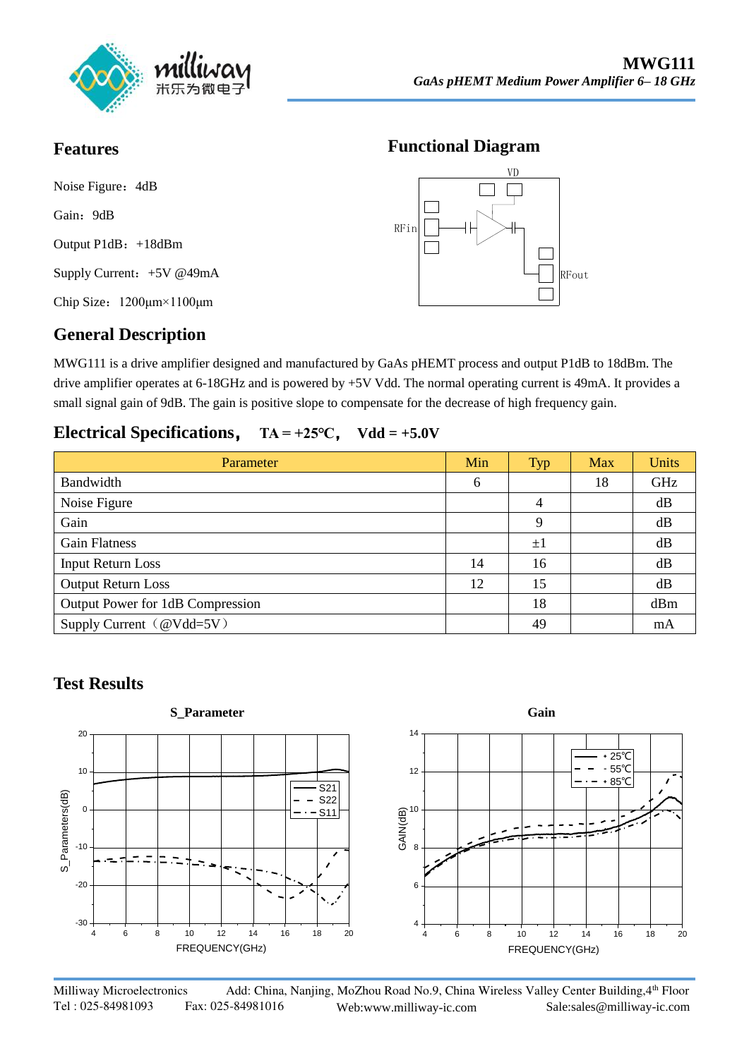

## **Features**

Noise Figure: 4dB Gain: 9dB Output P1dB: +18dBm Supply Current: +5V @49mA Chip Size:1200μm×1100μm

# RFin RFout VD

**Functional Diagram**

# **General Description**

MWG111 is a drive amplifier designed and manufactured by GaAs pHEMT process and output P1dB to 18dBm. The drive amplifier operates at 6-18GHz and is powered by +5V Vdd. The normal operating current is 49mA. It provides a small signal gain of 9dB. The gain is positive slope to compensate for the decrease of high frequency gain.

### **Electrical Specifications**, **TA = +25℃**, **Vdd = +5.0V**

| Parameter                        | Min | <b>Typ</b> | Max | <b>Units</b> |
|----------------------------------|-----|------------|-----|--------------|
| Bandwidth                        | 6   |            | 18  | GHz          |
| Noise Figure                     |     | 4          |     | dB           |
| Gain                             |     | 9          |     | dB           |
| <b>Gain Flatness</b>             |     | $\pm 1$    |     | dB           |
| <b>Input Return Loss</b>         | 14  | 16         |     | dB           |
| <b>Output Return Loss</b>        | 12  | 15         |     | dB           |
| Output Power for 1dB Compression |     | 18         |     | dBm          |
| Supply Current (@Vdd=5V)         |     | 49         |     | mA           |

## **Test Results**



Milliway Microelectronics Add: China, Nanjing, MoZhou Road No.9, China Wireless Valley Center Building, 4th Floor Tel : 025-84981093 Fax: 025-84981016 Web:www.milliway-ic.com Sale:sales@milliway-ic.com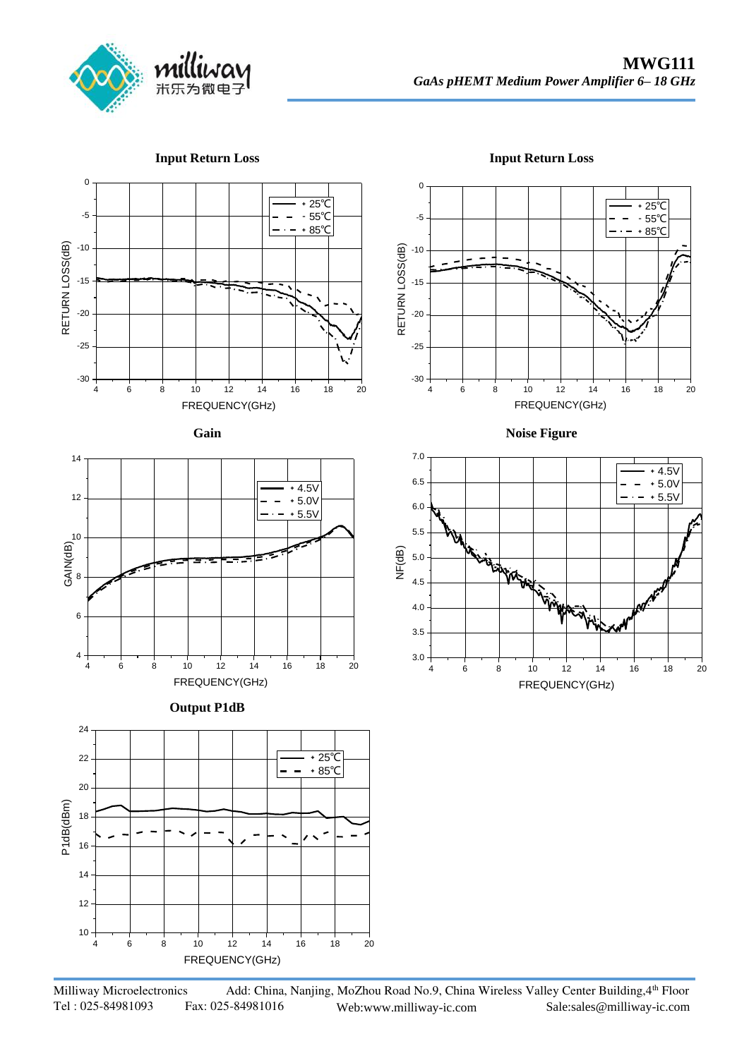

RETURN LOSS(dB)

**Input Return Loss**

#### **Input Return Loss**







**Output P1dB** 



+25℃ -5 ﹣55℃  $\overline{\phantom{a}}$  $- * 85^{\circ}C$ -10 -15 -20 -25 -30 4 6 8 10 12 14 16 18 20 FREQUENCY(GHz)

0

**Noise Figure**



Milliway Microelectronics Add: China, Nanjing, MoZhou Road No.9, China Wireless Valley Center Building, 4th Floor Tel : 025-84981093 Fax: 025-84981016 Web:www.milliway-ic.com Sale:sales@milliway-ic.com